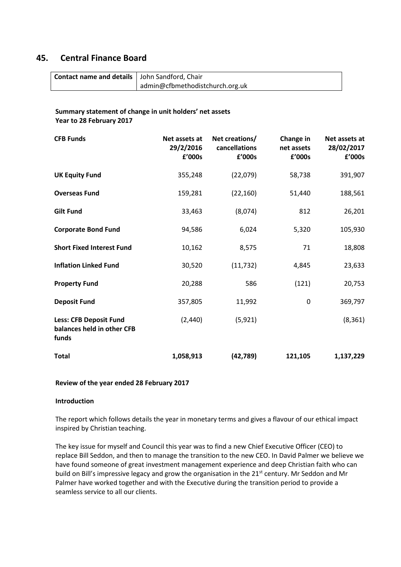# **45. Central Finance Board**

| Contact name and details   John Sandford, Chair |                                 |
|-------------------------------------------------|---------------------------------|
|                                                 | admin@cfbmethodistchurch.org.uk |

# **Summary statement of change in unit holders' net assets Year to 28 February 2017**

| <b>CFB Funds</b>                                                     | Net assets at<br>29/2/2016<br>£'000s | Net creations/<br>cancellations<br>£'000s | Change in<br>net assets<br>£'000s | Net assets at<br>28/02/2017<br>£'000s |
|----------------------------------------------------------------------|--------------------------------------|-------------------------------------------|-----------------------------------|---------------------------------------|
| <b>UK Equity Fund</b>                                                | 355,248                              | (22,079)                                  | 58,738                            | 391,907                               |
| <b>Overseas Fund</b>                                                 | 159,281                              | (22, 160)                                 | 51,440                            | 188,561                               |
| <b>Gilt Fund</b>                                                     | 33,463                               | (8,074)                                   | 812                               | 26,201                                |
| <b>Corporate Bond Fund</b>                                           | 94,586                               | 6,024                                     | 5,320                             | 105,930                               |
| <b>Short Fixed Interest Fund</b>                                     | 10,162                               | 8,575                                     | 71                                | 18,808                                |
| <b>Inflation Linked Fund</b>                                         | 30,520                               | (11, 732)                                 | 4,845                             | 23,633                                |
| <b>Property Fund</b>                                                 | 20,288                               | 586                                       | (121)                             | 20,753                                |
| <b>Deposit Fund</b>                                                  | 357,805                              | 11,992                                    | 0                                 | 369,797                               |
| <b>Less: CFB Deposit Fund</b><br>balances held in other CFB<br>funds | (2, 440)                             | (5, 921)                                  |                                   | (8, 361)                              |
| <b>Total</b>                                                         | 1,058,913                            | (42, 789)                                 | 121,105                           | 1,137,229                             |

## **Review of the year ended 28 February 2017**

## **Introduction**

The report which follows details the year in monetary terms and gives a flavour of our ethical impact inspired by Christian teaching.

The key issue for myself and Council this year was to find a new Chief Executive Officer (CEO) to replace Bill Seddon, and then to manage the transition to the new CEO. In David Palmer we believe we have found someone of great investment management experience and deep Christian faith who can build on Bill's impressive legacy and grow the organisation in the 21<sup>st</sup> century. Mr Seddon and Mr Palmer have worked together and with the Executive during the transition period to provide a seamless service to all our clients.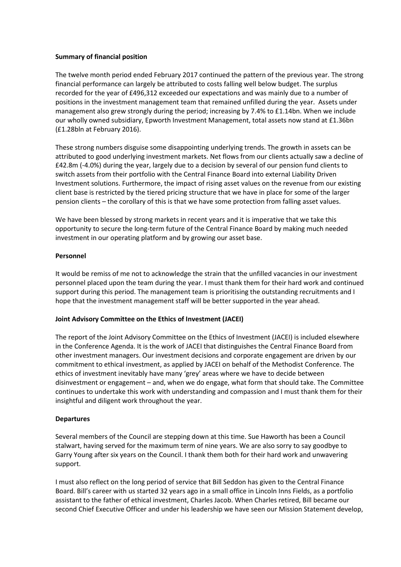## **Summary of financial position**

The twelve month period ended February 2017 continued the pattern of the previous year. The strong financial performance can largely be attributed to costs falling well below budget. The surplus recorded for the year of £496,312 exceeded our expectations and was mainly due to a number of positions in the investment management team that remained unfilled during the year. Assets under management also grew strongly during the period; increasing by 7.4% to £1.14bn. When we include our wholly owned subsidiary, Epworth Investment Management, total assets now stand at £1.36bn (£1.28bln at February 2016).

These strong numbers disguise some disappointing underlying trends. The growth in assets can be attributed to good underlying investment markets. Net flows from our clients actually saw a decline of £42.8m (-4.0%) during the year, largely due to a decision by several of our pension fund clients to switch assets from their portfolio with the Central Finance Board into external Liability Driven Investment solutions. Furthermore, the impact of rising asset values on the revenue from our existing client base is restricted by the tiered pricing structure that we have in place for some of the larger pension clients – the corollary of this is that we have some protection from falling asset values.

We have been blessed by strong markets in recent years and it is imperative that we take this opportunity to secure the long-term future of the Central Finance Board by making much needed investment in our operating platform and by growing our asset base.

## **Personnel**

It would be remiss of me not to acknowledge the strain that the unfilled vacancies in our investment personnel placed upon the team during the year. I must thank them for their hard work and continued support during this period. The management team is prioritising the outstanding recruitments and I hope that the investment management staff will be better supported in the year ahead.

## **Joint Advisory Committee on the Ethics of Investment (JACEI)**

The report of the Joint Advisory Committee on the Ethics of Investment (JACEI) is included elsewhere in the Conference Agenda. It is the work of JACEI that distinguishes the Central Finance Board from other investment managers. Our investment decisions and corporate engagement are driven by our commitment to ethical investment, as applied by JACEI on behalf of the Methodist Conference. The ethics of investment inevitably have many 'grey' areas where we have to decide between disinvestment or engagement – and, when we do engage, what form that should take. The Committee continues to undertake this work with understanding and compassion and I must thank them for their insightful and diligent work throughout the year.

## **Departures**

Several members of the Council are stepping down at this time. Sue Haworth has been a Council stalwart, having served for the maximum term of nine years. We are also sorry to say goodbye to Garry Young after six years on the Council. I thank them both for their hard work and unwavering support.

I must also reflect on the long period of service that Bill Seddon has given to the Central Finance Board. Bill's career with us started 32 years ago in a small office in Lincoln Inns Fields, as a portfolio assistant to the father of ethical investment, Charles Jacob. When Charles retired, Bill became our second Chief Executive Officer and under his leadership we have seen our Mission Statement develop,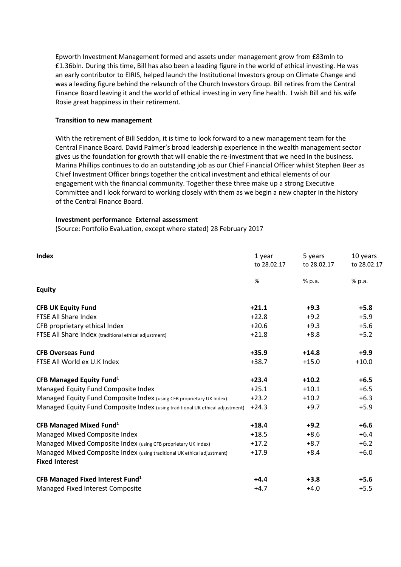Epworth Investment Management formed and assets under management grow from £83mln to £1.36bln. During this time, Bill has also been a leading figure in the world of ethical investing. He was an early contributor to EIRIS, helped launch the Institutional Investors group on Climate Change and was a leading figure behind the relaunch of the Church Investors Group. Bill retires from the Central Finance Board leaving it and the world of ethical investing in very fine health. I wish Bill and his wife Rosie great happiness in their retirement.

#### **Transition to new management**

With the retirement of Bill Seddon, it is time to look forward to a new management team for the Central Finance Board. David Palmer's broad leadership experience in the wealth management sector gives us the foundation for growth that will enable the re-investment that we need in the business. Marina Phillips continues to do an outstanding job as our Chief Financial Officer whilst Stephen Beer as Chief Investment Officer brings together the critical investment and ethical elements of our engagement with the financial community. Together these three make up a strong Executive Committee and I look forward to working closely with them as we begin a new chapter in the history of the Central Finance Board.

#### **Investment performance External assessment**

(Source: Portfolio Evaluation, except where stated) 28 February 2017

| <b>Index</b>                                                                  | 1 year<br>to 28.02.17 | 5 years<br>to 28.02.17 | 10 years<br>to 28.02.17 |
|-------------------------------------------------------------------------------|-----------------------|------------------------|-------------------------|
|                                                                               | %                     | % p.a.                 | % p.a.                  |
| <b>Equity</b>                                                                 |                       |                        |                         |
| <b>CFB UK Equity Fund</b>                                                     | $+21.1$               | $+9.3$                 | $+5.8$                  |
| <b>FTSE All Share Index</b>                                                   | $+22.8$               | $+9.2$                 | $+5.9$                  |
| CFB proprietary ethical Index                                                 | $+20.6$               | $+9.3$                 | $+5.6$                  |
| FTSE All Share Index (traditional ethical adjustment)                         | $+21.8$               | $+8.8$                 | $+5.2$                  |
| <b>CFB Overseas Fund</b>                                                      | $+35.9$               | $+14.8$                | $+9.9$                  |
| FTSE All World ex U.K Index                                                   | $+38.7$               | $+15.0$                | $+10.0$                 |
| CFB Managed Equity Fund <sup>1</sup>                                          | $+23.4$               | $+10.2$                | $+6.5$                  |
| Managed Equity Fund Composite Index                                           | $+25.1$               | $+10.1$                | $+6.5$                  |
| Managed Equity Fund Composite Index (using CFB proprietary UK Index)          | $+23.2$               | $+10.2$                | $+6.3$                  |
| Managed Equity Fund Composite Index (using traditional UK ethical adjustment) | $+24.3$               | $+9.7$                 | $+5.9$                  |
| CFB Managed Mixed Fund <sup>1</sup>                                           | $+18.4$               | $+9.2$                 | $+6.6$                  |
| Managed Mixed Composite Index                                                 | $+18.5$               | $+8.6$                 | $+6.4$                  |
| Managed Mixed Composite Index (using CFB proprietary UK Index)                | $+17.2$               | $+8.7$                 | $+6.2$                  |
| Managed Mixed Composite Index (using traditional UK ethical adjustment)       | $+17.9$               | $+8.4$                 | $+6.0$                  |
| <b>Fixed Interest</b>                                                         |                       |                        |                         |
| CFB Managed Fixed Interest Fund <sup>1</sup>                                  | $+4.4$                | $+3.8$                 | $+5.6$                  |
| Managed Fixed Interest Composite                                              | $+4.7$                | $+4.0$                 | $+5.5$                  |